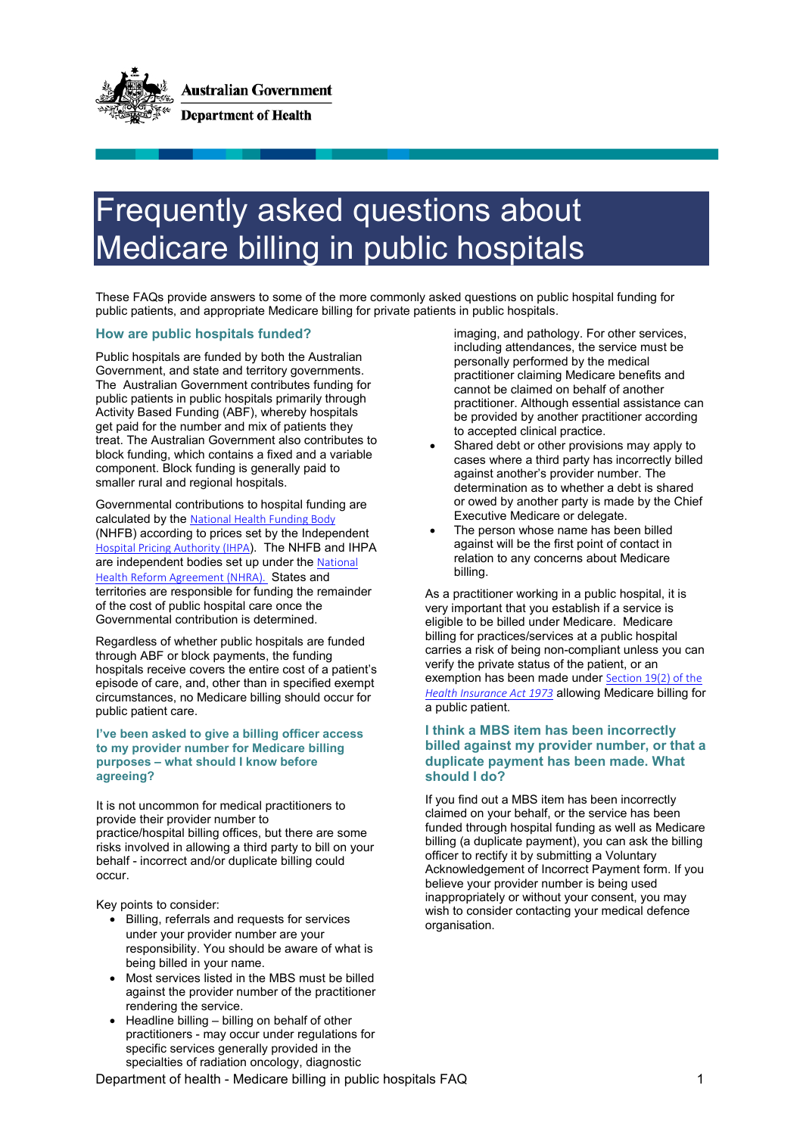

# Frequently asked questions about Medicare billing in public hospitals

 These FAQs provide answers to some of the more commonly asked questions on public hospital funding for public patients, and appropriate Medicare billing for private patients in public hospitals.

# **How are public hospitals funded?**

 The Australian Government contributes funding for Activity Based Funding (ABF), whereby hospitals treat. The Australian Government also contributes to Public hospitals are funded by both the Australian Government, and state and territory governments. public patients in public hospitals primarily through get paid for the number and mix of patients they block funding, which contains a fixed and a variable component. Block funding is generally paid to smaller rural and regional hospitals.

Governmental contributions to hospital funding are calculated by the [National Health Funding Body](https://www.publichospitalfunding.gov.au/)  (NHFB) according to prices set by the Independent [Hospital Pricing Authority \(IHPA](https://www.ihpa.gov.au/)). The NHFB and IHPA are independent bodies set up under the National [Health Reform Agreement \(NHRA\).](https://www.health.gov.au/initiatives-and-programs/2020-25-national-health-reform-agreement-nhra) States and territories are responsible for funding the remainder of the cost of public hospital care once the Governmental contribution is determined.

 hospitals receive covers the entire cost of a patient's episode of care, and, other than in specified exempt Regardless of whether public hospitals are funded through ABF or block payments, the funding circumstances, no Medicare billing should occur for public patient care.

**I've been asked to give a billing officer access to my provider number for Medicare billing purposes – what should I know before agreeing?**

It is not uncommon for medical practitioners to provide their provider number to practice/hospital billing offices, but there are some risks involved in allowing a third party to bill on your behalf - incorrect and/or duplicate billing could occur.

Key points to consider:

- Billing, referrals and requests for services under your provider number are your responsibility. You should be aware of what is being billed in your name.
- Most services listed in the MBS must be billed against the provider number of the practitioner rendering the service.
- Headline billing billing on behalf of other practitioners - may occur under regulations for specific services generally provided in the specialties of radiation oncology, diagnostic

 to accepted clinical practice. imaging, and pathology. For other services, including attendances, the service must be personally performed by the medical practitioner claiming Medicare benefits and cannot be claimed on behalf of another practitioner. Although essential assistance can be provided by another practitioner according

- determination as to whether a debt is shared • Shared debt or other provisions may apply to cases where a third party has incorrectly billed against another's provider number. The or owed by another party is made by the Chief Executive Medicare or delegate.
- against will be the first point of contact in The person whose name has been billed relation to any concerns about Medicare billing.

As a practitioner working in a public hospital, it is very important that you establish if a service is eligible to be billed under Medicare. Medicare billing for practices/services at a public hospital carries a risk of being non-compliant unless you can verify the private status of the patient, or an exemption has been made under [Section 19\(2\) of the](https://www.legislation.gov.au/Details/C2021C00054)  *[Health Insurance Act 1973](https://www.legislation.gov.au/Details/C2021C00054)* allowing Medicare billing for a public patient.

# **I think a MBS item has been incorrectly billed against my provider number, or that a duplicate payment has been made. What should I do?**

 If you find out a MBS item has been incorrectly billing (a duplicate payment), you can ask the billing claimed on your behalf, or the service has been funded through hospital funding as well as Medicare officer to rectify it by submitting a Voluntary Acknowledgement of Incorrect Payment form. If you believe your provider number is being used inappropriately or without your consent, you may wish to consider contacting your medical defence organisation.

Department of health - Medicare billing in public hospitals FAQ 1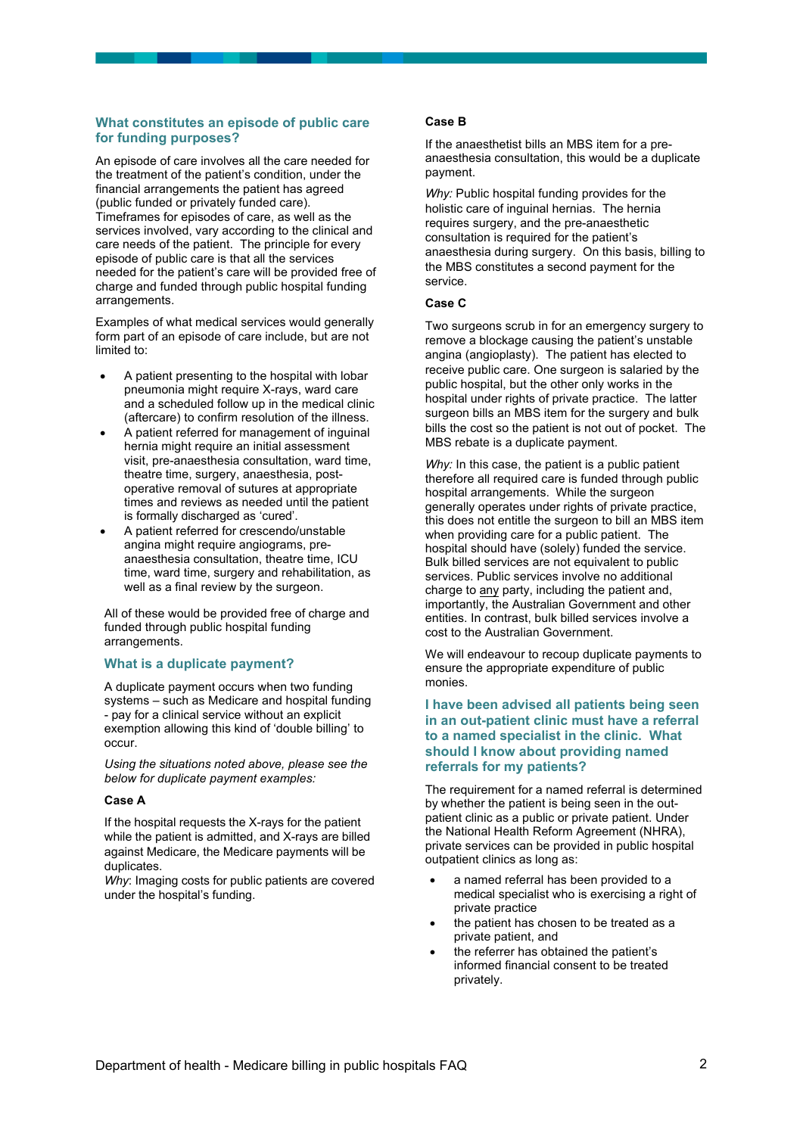### **What constitutes an episode of public care for funding purposes?**

 care needs of the patient. The principle for every An episode of care involves all the care needed for the treatment of the patient's condition, under the financial arrangements the patient has agreed (public funded or privately funded care). Timeframes for episodes of care, as well as the services involved, vary according to the clinical and episode of public care is that all the services needed for the patient's care will be provided free of charge and funded through public hospital funding arrangements.

Examples of what medical services would generally form part of an episode of care include, but are not limited to:

- A patient presenting to the hospital with lobar pneumonia might require X-rays, ward care and a scheduled follow up in the medical clinic (aftercare) to confirm resolution of the illness.
- A patient referred for management of inguinal hernia might require an initial assessment visit, pre-anaesthesia consultation, ward time, theatre time, surgery, anaesthesia, postoperative removal of sutures at appropriate times and reviews as needed until the patient is formally discharged as 'cured'.
- A patient referred for crescendo/unstable angina might require angiograms, preanaesthesia consultation, theatre time, ICU time, ward time, surgery and rehabilitation, as well as a final review by the surgeon.

All of these would be provided free of charge and funded through public hospital funding arrangements.

#### **What is a duplicate payment?**

A duplicate payment occurs when two funding systems – such as Medicare and hospital funding - pay for a clinical service without an explicit exemption allowing this kind of 'double billing' to occur.

*Using the situations noted above, please see the below for duplicate payment examples:* 

#### **Case A**

If the hospital requests the X-rays for the patient while the patient is admitted, and X-rays are billed against Medicare, the Medicare payments will be duplicates.

*Why*: Imaging costs for public patients are covered under the hospital's funding.

#### **Case B**

If the anaesthetist bills an MBS item for a preanaesthesia consultation, this would be a duplicate payment.

 holistic care of inguinal hernias. The hernia anaesthesia during surgery. On this basis, billing to *Why:* Public hospital funding provides for the requires surgery, and the pre-anaesthetic consultation is required for the patient's the MBS constitutes a second payment for the service.

#### **Case C**

 angina (angioplasty). The patient has elected to Two surgeons scrub in for an emergency surgery to remove a blockage causing the patient's unstable receive public care. One surgeon is salaried by the public hospital, but the other only works in the hospital under rights of private practice. The latter surgeon bills an MBS item for the surgery and bulk bills the cost so the patient is not out of pocket. The MBS rebate is a duplicate payment.

 hospital arrangements. While the surgeon generally operates under rights of private practice, when providing care for a public patient. The *Why:* In this case, the patient is a public patient therefore all required care is funded through public this does not entitle the surgeon to bill an MBS item hospital should have (solely) funded the service. Bulk billed services are not equivalent to public services. Public services involve no additional charge to any party, including the patient and, importantly, the Australian Government and other entities. In contrast, bulk billed services involve a cost to the Australian Government.

We will endeavour to recoup duplicate payments to ensure the appropriate expenditure of public monies.

# **to a named specialist in the clinic. What I have been advised all patients being seen in an out-patient clinic must have a referral should I know about providing named referrals for my patients?**

patient clinic as a public or private patient. Under The requirement for a named referral is determined by whether the patient is being seen in the outthe National Health Reform Agreement (NHRA), private services can be provided in public hospital outpatient clinics as long as:

- a named referral has been provided to a medical specialist who is exercising a right of private practice
- the patient has chosen to be treated as a private patient, and
- the referrer has obtained the patient's informed financial consent to be treated privately.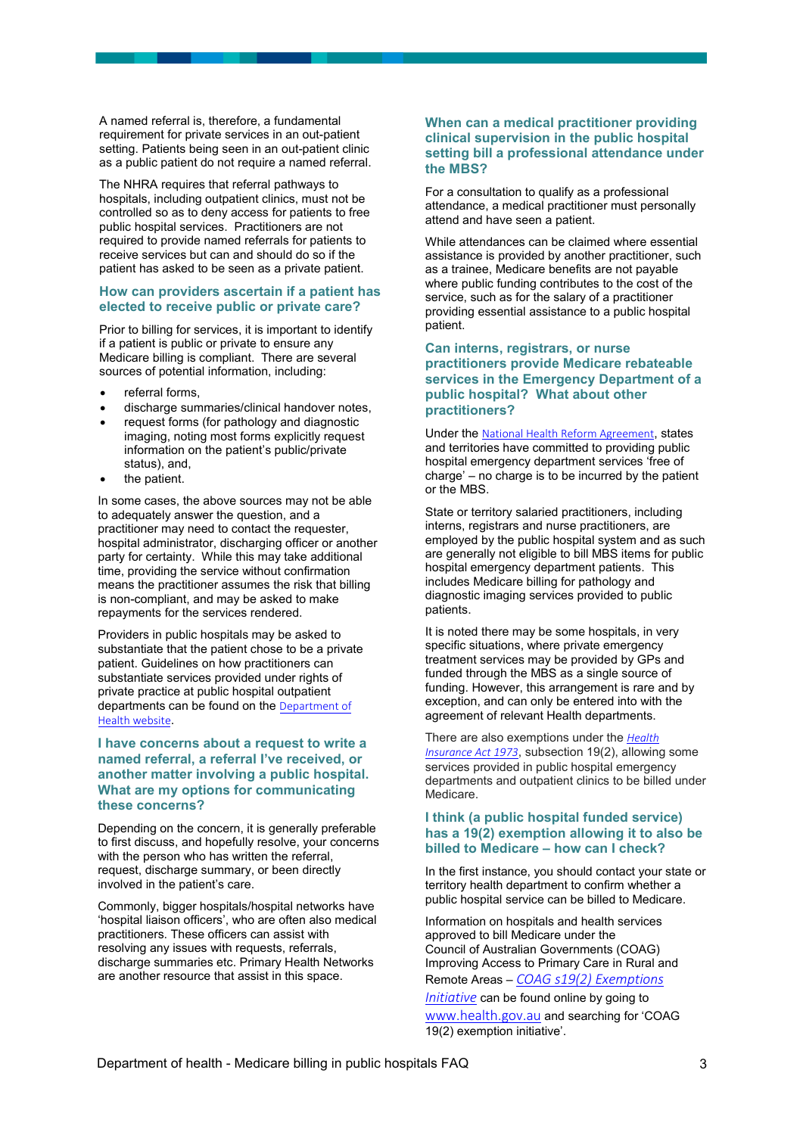A named referral is, therefore, a fundamental requirement for private services in an out-patient setting. Patients being seen in an out-patient clinic as a public patient do not require a named referral.

 public hospital services. Practitioners are not patient has asked to be seen as a private patient. The NHRA requires that referral pathways to hospitals, including outpatient clinics, must not be controlled so as to deny access for patients to free required to provide named referrals for patients to receive services but can and should do so if the

#### **How can providers ascertain if a patient has elected to receive public or private care?**

Prior to billing for services, it is important to identify if a patient is public or private to ensure any Medicare billing is compliant. There are several sources of potential information, including:

- referral forms.
- discharge summaries/clinical handover notes,
- request forms (for pathology and diagnostic imaging, noting most forms explicitly request information on the patient's public/private status), and,
- the patient.

 party for certainty. While this may take additional In some cases, the above sources may not be able to adequately answer the question, and a practitioner may need to contact the requester, hospital administrator, discharging officer or another time, providing the service without confirmation means the practitioner assumes the risk that billing is non-compliant, and may be asked to make repayments for the services rendered.

 Providers in public hospitals may be asked to substantiate that the patient chose to be a private patient. Guidelines on how practitioners can substantiate services provided under rights of private practice at public hospital outpatient departments can be found on the Department of Health website.

# **I have concerns about a request to write a named referral, a referral I've received, or another matter involving a public hospital. What are my options for communicating these concerns?**

Depending on the concern, it is generally preferable to first discuss, and hopefully resolve, your concerns with the person who has written the referral. request, discharge summary, or been directly involved in the patient's care.

Commonly, bigger hospitals/hospital networks have 'hospital liaison officers', who are often also medical practitioners. These officers can assist with resolving any issues with requests, referrals, discharge summaries etc. Primary Health Networks are another resource that assist in this space.

#### **When can a medical practitioner providing clinical supervision in the public hospital setting bill a professional attendance under the MBS?**

For a consultation to qualify as a professional attendance, a medical practitioner must personally attend and have seen a patient.

 providing essential assistance to a public hospital While attendances can be claimed where essential assistance is provided by another practitioner, such as a trainee, Medicare benefits are not payable where public funding contributes to the cost of the service, such as for the salary of a practitioner patient.

## **public hospital? What about other Can interns, registrars, or nurse practitioners provide Medicare rebateable services in the Emergency Department of a practitioners?**

Under the [National Health Reform Agreement](https://www.health.gov.au/initiatives-and-programs/2020-25-national-health-reform-agreement-nhra), states and territories have committed to providing public hospital emergency department services 'free of charge' – no charge is to be incurred by the patient or the MBS.

 employed by the public hospital system and as such are generally not eligible to bill MBS items for public State or territory salaried practitioners, including interns, registrars and nurse practitioners, are hospital emergency department patients. This includes Medicare billing for pathology and diagnostic imaging services provided to public patients.

 treatment services may be provided by GPs and agreement of relevant Health departments. It is noted there may be some hospitals, in very specific situations, where private emergency funded through the MBS as a single source of funding. However, this arrangement is rare and by exception, and can only be entered into with the

Thereare also exemptions under the **Health** *[Insurance Act 1973](https://www.legislation.gov.au/Details/C2021C00054)*, subsection 19(2), allowing some services provided in public hospital emergency departments and outpatient clinics to be billed under Medicare.

# **I think (a public hospital funded service) has a 19(2) exemption allowing it to also be billed to Medicare – how can I check?**

 In the first instance, you should contact your state or territory health department to confirm whether a public hospital service can be billed to Medicare.

 Council of Australian Governments (COAG) Information on hospitals and health services approved to bill Medicare under the Improving Access to Primary Care in Rural and Remote Areas – *[COAG s19\(2\) Exemptions](https://www1.health.gov.au/internet/main/publishing.nsf/Content/COAG%20s19(2)%20Exemptions%20Initiative)* 

*[Initiative](https://www1.health.gov.au/internet/main/publishing.nsf/Content/COAG%20s19(2)%20Exemptions%20Initiative)* can be found online by going to [www.health.gov.au](http://www.health.gov.au/) and searching for 'COAG 19(2) exemption initiative'.